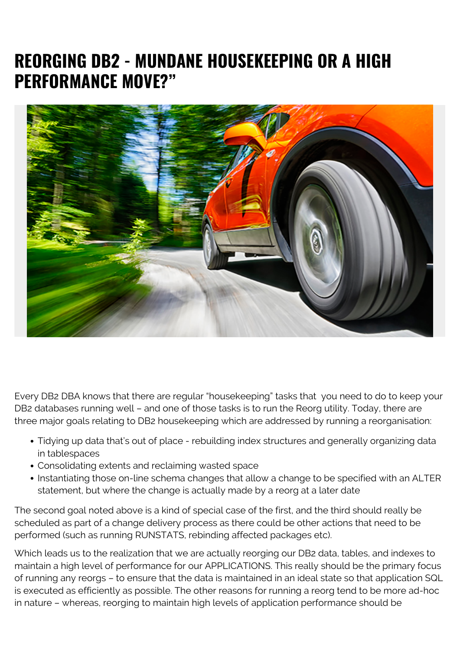## **REORGING DB2 - MUNDANE HOUSEKEEPING OR A HIGH PERFORMANCE MOVE?"**



Every DB2 DBA knows that there are regular "housekeeping" tasks that you need to do to keep your DB2 databases running well – and one of those tasks is to run the Reorg utility. Today, there are three major goals relating to DB2 housekeeping which are addressed by running a reorganisation:

- Tidying up data that's out of place rebuilding index structures and generally organizing data in tablespaces
- Consolidating extents and reclaiming wasted space
- Instantiating those on-line schema changes that allow a change to be specified with an ALTER statement, but where the change is actually made by a reorg at a later date

The second goal noted above is a kind of special case of the first, and the third should really be scheduled as part of a change delivery process as there could be other actions that need to be performed (such as running RUNSTATS, rebinding affected packages etc).

Which leads us to the realization that we are actually reorging our DB2 data, tables, and indexes to maintain a high level of performance for our APPLICATIONS. This really should be the primary focus of running any reorgs – to ensure that the data is maintained in an ideal state so that application SQL is executed as efficiently as possible. The other reasons for running a reorg tend to be more ad-hoc in nature – whereas, reorging to maintain high levels of application performance should be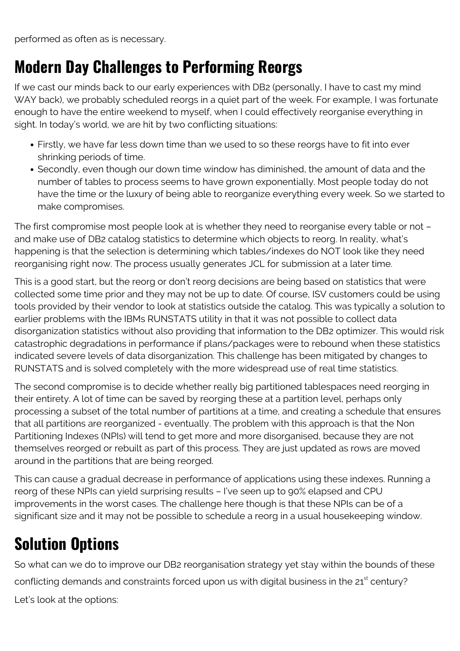performed as often as is necessary.

## **Modern Day Challenges to Performing Reorgs**

If we cast our minds back to our early experiences with DB2 (personally, I have to cast my mind WAY back), we probably scheduled reorgs in a quiet part of the week. For example, I was fortunate enough to have the entire weekend to myself, when I could effectively reorganise everything in sight. In today's world, we are hit by two conflicting situations:

- Firstly, we have far less down time than we used to so these reorgs have to fit into ever shrinking periods of time.
- Secondly, even though our down time window has diminished, the amount of data and the number of tables to process seems to have grown exponentially. Most people today do not have the time or the luxury of being able to reorganize everything every week. So we started to make compromises.

The first compromise most people look at is whether they need to reorganise every table or not – and make use of DB2 catalog statistics to determine which objects to reorg. In reality, what's happening is that the selection is determining which tables/indexes do NOT look like they need reorganising right now. The process usually generates JCL for submission at a later time.

This is a good start, but the reorg or don't reorg decisions are being based on statistics that were collected some time prior and they may not be up to date. Of course, ISV customers could be using tools provided by their vendor to look at statistics outside the catalog. This was typically a solution to earlier problems with the IBMs RUNSTATS utility in that it was not possible to collect data disorganization statistics without also providing that information to the DB2 optimizer. This would risk catastrophic degradations in performance if plans/packages were to rebound when these statistics indicated severe levels of data disorganization. This challenge has been mitigated by changes to RUNSTATS and is solved completely with the more widespread use of real time statistics.

The second compromise is to decide whether really big partitioned tablespaces need reorging in their entirety. A lot of time can be saved by reorging these at a partition level, perhaps only processing a subset of the total number of partitions at a time, and creating a schedule that ensures that all partitions are reorganized - eventually. The problem with this approach is that the Non Partitioning Indexes (NPIs) will tend to get more and more disorganised, because they are not themselves reorged or rebuilt as part of this process. They are just updated as rows are moved around in the partitions that are being reorged.

This can cause a gradual decrease in performance of applications using these indexes. Running a reorg of these NPIs can yield surprising results – I've seen up to 90% elapsed and CPU improvements in the worst cases. The challenge here though is that these NPIs can be of a significant size and it may not be possible to schedule a reorg in a usual housekeeping window.

## **Solution Options**

So what can we do to improve our DB2 reorganisation strategy yet stay within the bounds of these conflicting demands and constraints forced upon us with digital business in the 21<sup>st</sup> century? Let's look at the options: